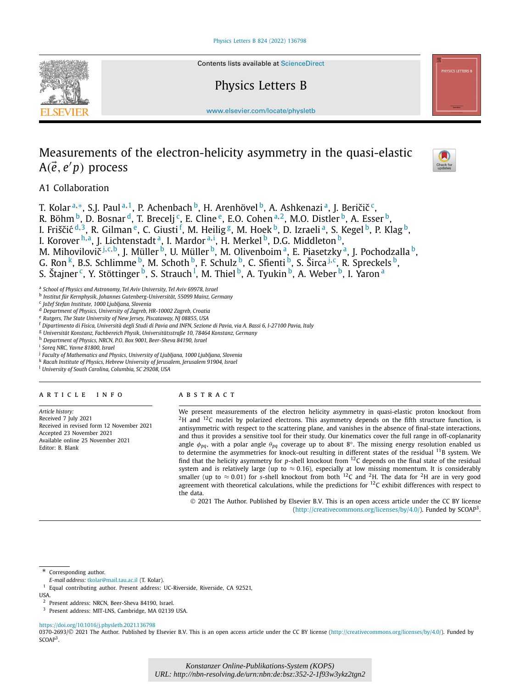

Contents lists available at [ScienceDirect](http://www.ScienceDirect.com/)

# Physics Letters B



# Measurements of the electron-helicity asymmetry in the quasi-elastic A*(e*-*, e p)* process



A1 Collaboration

T. Kolar<sup>a,∗</sup>, S.J. Paul<sup>a,1</sup>, P. Achenbach <sup>b</sup>, H. Arenhövel <sup>b</sup>, A. Ashkenazi<sup>a</sup>, J. Beričič<sup>c</sup>, R. Böhm <sup>b</sup>, D. Bosnar <sup>d</sup>, T. Brecelj <sup>c</sup>, E. Cline <sup>e</sup>, E.O. Cohen <sup>a, 2</sup>, M.O. Distler <sup>b</sup>, A. Esser <sup>b</sup>,

I. Friščić <sup>d,3</sup>, R. Gilman <sup>e</sup>, C. Giusti <sup>f</sup>, M. Heilig <sup>g</sup>, M. Hoek <sup>b</sup>, D. Izraeli <sup>a</sup>, S. Kegel <sup>b</sup>, P. Klag <sup>b</sup>,

I. Korover <sup>h, a</sup>, J. Lichtenstadt <sup>a</sup>, I. Mardor <sup>a, i</sup>, H. Merkel <sup>b</sup>, D.G. Middleton <sup>b</sup>,

M. Mihovilovič<sup>j,c,b</sup>, J. Müller<sup>b</sup>, U. Müller<sup>b</sup>, M. Olivenboim<sup>a</sup>, E. Piasetzky<sup>a</sup>, J. Pochodzalla<sup>b</sup>,

G. Ron<sup>k</sup>, B.S. Schlimme <sup>b</sup>, M. Schoth <sup>b</sup>, F. Schulz <sup>b</sup>, C. Sfienti <sup>b</sup>, S. Širca <sup>j, c</sup>, R. Spreckels <sup>b</sup>,

S. Štajner <sup>c</sup>, Y. Stöttinger <sup>b</sup>, S. Strauch <sup>l</sup>, M. Thiel <sup>b</sup>, A. Tyukin <sup>b</sup>, A. Weber <sup>b</sup>, I. Yaron <sup>a</sup>

<sup>a</sup> *School of Physics and Astronomy, Tel Aviv University, Tel Aviv 69978, Israel*

<sup>b</sup> *Institut für Kernphysik, Johannes Gutenberg-Universität, 55099 Mainz, Germany*

<sup>c</sup> *Jožef Stefan Institute, 1000 Ljubljana, Slovenia*

<sup>d</sup> *Department of Physics, University of Zagreb, HR-10002 Zagreb, Croatia*

<sup>e</sup> *Rutgers, The State University of New Jersey, Piscataway, NJ 08855, USA*

<sup>f</sup> Dipartimento di Fisica, Università degli Studi di Pavia and INFN, Sezione di Pavia, via A. Bassi 6, I-27100 Pavia, Italy

<sup>g</sup> *Universität Konstanz, Fachbereich Physik, Universitätsstraße 10, 78464 Konstanz, Germany*

<sup>h</sup> *Department of Physics, NRCN, P.O. Box 9001, Beer-Sheva 84190, Israel*

<sup>i</sup> *Soreq NRC, Yavne 81800, Israel*

<sup>j</sup> *Faculty of Mathematics and Physics, University of Ljubljana, 1000 Ljubljana, Slovenia*

<sup>k</sup> *Racah Institute of Physics, Hebrew University of Jerusalem, Jerusalem 91904, Israel*

<sup>l</sup> *University of South Carolina, Columbia, SC 29208, USA*

# A R T I C L E I N F O A B S T R A C T

*Article history:* Received 7 July 2021 Received in revised form 12 November 2021 Accepted 23 November 2021 Available online 25 November 2021 Editor: B. Blank

We present measurements of the electron helicity asymmetry in quasi-elastic proton knockout from  $2H$  and  $12C$  nuclei by polarized electrons. This asymmetry depends on the fifth structure function, is antisymmetric with respect to the scattering plane, and vanishes in the absence of final-state interactions, and thus it provides a sensitive tool for their study. Our kinematics cover the full range in off-coplanarity angle *φpq*, with a polar angle *θpq* coverage up to about 8◦. The missing energy resolution enabled us to determine the asymmetries for knock-out resulting in different states of the residual <sup>11</sup>B system. We find that the helicity asymmetry for *p*-shell knockout from 12C depends on the final state of the residual system and is relatively large (up to  $\approx 0.16$ ), especially at low missing momentum. It is considerably smaller (up to  $\approx$  0.01) for *s*-shell knockout from both <sup>12</sup>C and <sup>2</sup>H. The data for <sup>2</sup>H are in very good agreement with theoretical calculations, while the predictions for <sup>12</sup>C exhibit differences with respect to the data.

© 2021 The Author. Published by Elsevier B.V. This is an open access article under the CC BY license [\(http://creativecommons.org/licenses/by/4.0/\)](http://creativecommons.org/licenses/by/4.0/). Funded by SCOAP3.

Corresponding author.

*E-mail address:* [tkolar@mail.tau.ac.il](mailto:tkolar@mail.tau.ac.il) (T. Kolar).

<sup>1</sup> Equal contributing author. Present address: UC-Riverside, Riverside, CA 92521,

USA.

<sup>3</sup> Present address: MIT-LNS, Cambridge, MA 02139 USA.

<https://doi.org/10.1016/j.physletb.2021.136798>

0370-2693/© 2021 The Author. Published by Elsevier B.V. This is an open access article under the CC BY license [\(http://creativecommons.org/licenses/by/4.0/](http://creativecommons.org/licenses/by/4.0/)). Funded by SCOAP<sup>3</sup>.

<sup>2</sup> Present address: NRCN, Beer-Sheva 84190, Israel.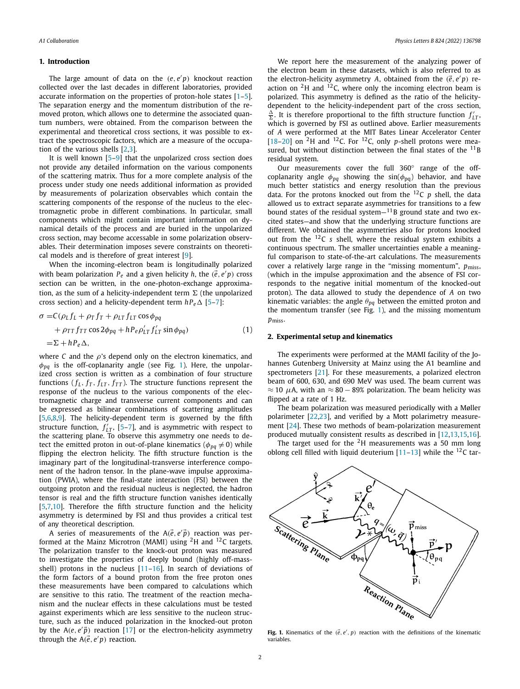# <span id="page-1-0"></span>**1. Introduction**

The large amount of data on the *(e, e p)* knockout reaction collected over the last decades in different laboratories, provided accurate information on the properties of proton-hole states [\[1–5\]](#page-7-0). The separation energy and the momentum distribution of the removed proton, which allows one to determine the associated quantum numbers, were obtained. From the comparison between the experimental and theoretical cross sections, it was possible to extract the spectroscopic factors, which are a measure of the occupation of the various shells [[2,3](#page-7-0)].

It is well known [[5](#page-7-0)–[9](#page-7-0)] that the unpolarized cross section does not provide any detailed information on the various components of the scattering matrix. Thus for a more complete analysis of the process under study one needs additional information as provided by measurements of polarization observables which contain the scattering components of the response of the nucleus to the electromagnetic probe in different combinations. In particular, small components which might contain important information on dynamical details of the process and are buried in the unpolarized cross section, may become accessable in some polarization observables. Their determination imposes severe constraints on theoretical models and is therefore of great interest [[9\]](#page-7-0).

When the incoming-electron beam is longitudinally polarized with beam polarization  $P_e$  and a given helicity  $h$ , the  $(\vec{e}, e'p)$  cross section can be written, in the one-photon-exchange approximation, as the sum of a helicity-independent term  $\Sigma$  (the unpolarized cross section) and a helicity-dependent term  $h P_e \Delta$  [\[5–7\]](#page-7-0):

$$
\sigma = C(\rho_L f_L + \rho_T f_T + \rho_{LT} f_{LT} \cos \phi_{pq} \n+ \rho_{TT} f_{TT} \cos 2\phi_{pq} + h P_e \rho'_{LT} f'_{LT} \sin \phi_{pq} \n= \Sigma + h P_e \Delta,
$$
\n(1)

where *C* and the *ρ*'s depend only on the electron kinematics, and *φpq* is the off-coplanarity angle (see Fig. 1). Here, the unpolarized cross section is written as a combination of four structure functions ( $f_L$ ,  $f_T$ ,  $f_{LT}$ ,  $f_{TT}$ ). The structure functions represent the response of the nucleus to the various components of the electromagnetic charge and transverse current components and can be expressed as bilinear combinations of scattering amplitudes [\[5](#page-7-0),[6,8](#page-7-0),[9\]](#page-7-0). The helicity-dependent term is governed by the fifth structure function,  $f'_{LT}$ , [\[5–7\]](#page-7-0), and is asymmetric with respect to the scattering plane. To observe this asymmetry one needs to detect the emitted proton in out-of-plane kinematics ( $\phi_{pq} \neq 0$ ) while flipping the electron helicity. The fifth structure function is the imaginary part of the longitudinal-transverse interference component of the hadron tensor. In the plane-wave impulse approximation (PWIA), where the final-state interaction (FSI) between the outgoing proton and the residual nucleus is neglected, the hadron tensor is real and the fifth structure function vanishes identically [\[5](#page-7-0),[7,10\]](#page-7-0). Therefore the fifth structure function and the helicity asymmetry is determined by FSI and thus provides a critical test of any theoretical description.

A series of measurements of the  $A(\vec{e}, e'\vec{p})$  reaction was performed at the Mainz Microtron (MAMI) using <sup>2</sup>H and <sup>12</sup>C targets. The polarization transfer to the knock-out proton was measured to investigate the properties of deeply bound (highly off-massshell) protons in the nucleus [[11](#page-7-0)–[16](#page-7-0)]. In search of deviations of the form factors of a bound proton from the free proton ones these measurements have been compared to calculations which are sensitive to this ratio. The treatment of the reaction mechanism and the nuclear effects in these calculations must be tested against experiments which are less sensitive to the nucleon structure, such as the induced polarization in the knocked-out proton by the  $A(e, e'\vec{p})$  reaction [[17](#page-7-0)] or the electron-helicity asymmetry through the  $A(\vec{e}, e'p)$  reaction.

We report here the measurement of the analyzing power of the electron beam in these datasets, which is also referred to as the electron-helicity asymmetry *A*, obtained from the  $(\vec{e}, e'p)$  reaction on  ${}^{2}$ H and  ${}^{12}$ C, where only the incoming electron beam is polarized. This asymmetry is defined as the ratio of the helicitydependent to the helicity-independent part of the cross section,  $\frac{\Delta}{\Sigma}$ . It is therefore proportional to the fifth structure function  $f'_{LT}$ which is governed by FSI as outlined above. Earlier measurements of *A* were performed at the MIT Bates Linear Accelerator Center [\[18–20\]](#page-7-0) on  $^{2}$ H and <sup>12</sup>C. For <sup>12</sup>C, only *p*-shell protons were measured, but without distinction between the final states of the  $^{11}$ B residual system.

Our measurements cover the full 360◦ range of the offcoplanarity angle  $\phi_{pq}$  showing the sin( $\phi_{pq}$ ) behavior, and have much better statistics and energy resolution than the previous data. For the protons knocked out from the 12C *p* shell, the data allowed us to extract separate asymmetries for transitions to a few bound states of the residual system $-$ <sup>11</sup>B ground state and two excited states—and show that the underlying structure functions are different. We obtained the asymmetries also for protons knocked out from the 12C *s* shell, where the residual system exhibits a continuous spectrum. The smaller uncertainties enable a meaningful comparison to state-of-the-art calculations. The measurements cover a relatively large range in the "missing momentum",  $p_{\text{miss}}$ , (which in the impulse approximation and the absence of FSI corresponds to the negative initial momentum of the knocked-out proton). The data allowed to study the dependence of *A* on two kinematic variables: the angle *θpq* between the emitted proton and the momentum transfer (see Fig. 1), and the missing momentum *p*miss.

## **2. Experimental setup and kinematics**

The experiments were performed at the MAMI facility of the Johannes Gutenberg University at Mainz using the A1 beamline and spectrometers [\[21\]](#page-7-0). For these measurements, a polarized electron beam of 600, 630, and 690 MeV was used. The beam current was  $\approx$  10  $\mu$ A, with an  $\approx$  80 – 89% polarization. The beam helicity was flipped at a rate of 1 Hz.

The beam polarization was measured periodically with a Møller polarimeter [\[22,23\]](#page-7-0), and verified by a Mott polarimetry measurement [[24](#page-7-0)]. These two methods of beam-polarization measurement produced mutually consistent results as described in [\[12,13,15,16\]](#page-7-0).

The target used for the  $2H$  measurements was a 50 mm long oblong cell filled with liquid deuterium  $[11-13]$  $[11-13]$  $[11-13]$  $[11-13]$  $[11-13]$  while the <sup>12</sup>C tar-



**Fig. 1.** Kinematics of the  $(\vec{e}, e', p)$  reaction with the definitions of the kinematic variables.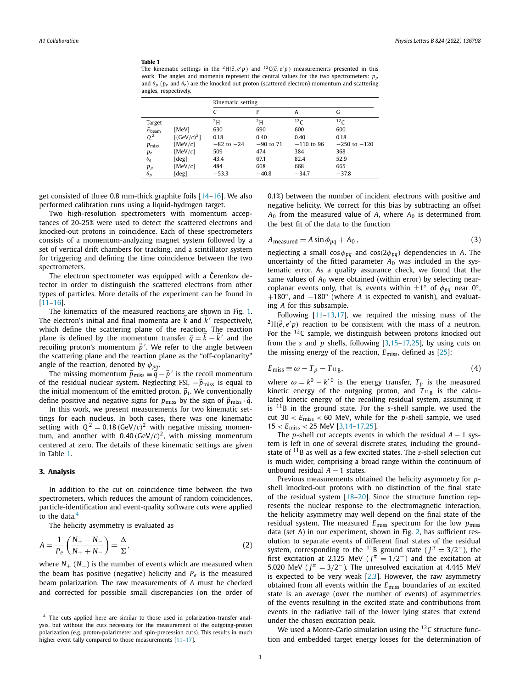## **Table 1**

The kinematic settings in the <sup>2</sup>H( $\vec{e}$ ,  $e'p$ ) and <sup>12</sup>C( $\vec{e}$ ,  $e'p$ ) measurements presented in this work. The angles and momenta represent the central values for the two spectrometers:  $p_p$ and  $\theta_p$  ( $p_e$  and  $\theta_e$ ) are the knocked out proton (scattered electron) momentum and scattering angles, respectively.

|                   |                 | Kinematic setting |             |                 |                  |
|-------------------|-----------------|-------------------|-------------|-----------------|------------------|
|                   |                 |                   | F           | Α               | G                |
| Target            |                 | $^{2}H$           | $^{2}H$     | 12 <sub>C</sub> | 12 <sub>C</sub>  |
| $E_{\text{beam}}$ | [MeV]           | 630               | 690         | 600             | 600              |
| $Q^2$             | $[(GeV/c)^{2}]$ | 0.18              | 0.40        | 0.40            | 0.18             |
| $p_{\text{miss}}$ | [MeV/c]         | $-82$ to $-24$    | $-90$ to 71 | $-110$ to 96    | $-250$ to $-120$ |
| $p_e$             | [ $MeV/c$ ]     | 509               | 474         | 384             | 368              |
| $\theta_e$        | [deg]           | 43.4              | 67.1        | 82.4            | 52.9             |
| $p_p$             | [ $MeV/c$ ]     | 484               | 668         | 668             | 665              |
| $\theta_p$        | [deg]           | $-53.3$           | $-40.8$     | $-34.7$         | $-37.8$          |

get consisted of three 0.8 mm-thick graphite foils [\[14–16\]](#page-7-0). We also performed calibration runs using a liquid-hydrogen target.

Two high-resolution spectrometers with momentum acceptances of 20-25% were used to detect the scattered electrons and knocked-out protons in coincidence. Each of these spectrometers consists of a momentum-analyzing magnet system followed by a set of vertical drift chambers for tracking, and a scintillator system for triggering and defining the time coincidence between the two spectrometers.

The electron spectrometer was equipped with a Cerenkov detector in order to distinguish the scattered electrons from other types of particles. More details of the experiment can be found in [\[11–16\]](#page-7-0).

The kinematics of the measured reactions are shown in Fig. [1.](#page-1-0) The electron's initial and final momenta are  $k$  and  $k^\prime$  respectively, which define the scattering plane of the reaction. The reaction plane is defined by the momentum transfer  $\vec{q} = k - k'$  and the recoiling proton's momentum  $\vec{p}$ <sup>'</sup>. We refer to the angle between the scattering plane and the reaction plane as the "off-coplanarity" angle of the reaction, denoted by *φpq*.

The missing momentum  $\vec{p}_{\text{miss}} \equiv \vec{q} - \vec{p}'$  is the recoil momentum of the residual nuclear system. Neglecting FSI,  $-\vec{p}_{\text{miss}}$  is equal to the initial momentum of the emitted proton,  $\tilde{p}_i$ . We conventionally define positive and negative signs for  $p_{\text{miss}}$  by the sign of  $\bar{p}_{\text{miss}} \cdot \bar{q}$ .

In this work, we present measurements for two kinematic settings for each nucleus. In both cases, there was one kinematic setting with  $Q^2 = 0.18 \, (\text{GeV}/c)^2$  with negative missing momentum, and another with  $0.40$  (GeV/ $c$ )<sup>2</sup>, with missing momentum centered at zero. The details of these kinematic settings are given in Table 1.

## **3. Analysis**

In addition to the cut on coincidence time between the two spectrometers, which reduces the amount of random coincidences, particle-identification and event-quality software cuts were applied to the data. $4$ 

The helicity asymmetry is evaluated as

$$
A = \frac{1}{P_e} \left( \frac{N_+ - N_-}{N_+ + N_-} \right) = \frac{\Delta}{\Sigma},\tag{2}
$$

where  $N_{+}$  ( $N_{-}$ ) is the number of events which are measured when the beam has positive (negative) helicity and  $P_e$  is the measured beam polarization. The raw measurements of *A* must be checked and corrected for possible small discrepancies (on the order of

0.1%) between the number of incident electrons with positive and negative helicity. We correct for this bias by subtracting an offset  $A_0$  from the measured value of *A*, where  $A_0$  is determined from the best fit of the data to the function

$$
A_{\text{measured}} = A \sin \phi_{pq} + A_0, \qquad (3)
$$

neglecting a small cos*φpq* and cos*(*2*φpq)* dependencies in *A*. The uncertainty of the fitted parameter  $A_0$  was included in the systematic error. As a quality assurance check, we found that the same values of  $A_0$  were obtained (within error) by selecting nearcoplanar events only, that is, events within  $\pm 1°$  of  $\phi_{pq}$  near 0°, +180◦, and −180◦ (where *A* is expected to vanish), and evaluating *A* for this subsample.

Following [\[11–13,17\]](#page-7-0), we required the missing mass of the  ${}^{2}H(\vec{e},e'p)$  reaction to be consistent with the mass of a neutron. For the  $12C$  sample, we distinguish between protons knocked out from the *s* and *p* shells, following [[3,15–17,25](#page-7-0)], by using cuts on the missing energy of the reaction, *E*miss, defined as [\[25](#page-7-0)]:

$$
E_{\text{miss}} \equiv \omega - T_p - T_{11} \tag{4}
$$

where  $\omega = k^0 - k'^0$  is the energy transfer,  $T_p$  is the measured kinetic energy of the outgoing proton, and  $T_{11_B}$  is the calculated kinetic energy of the recoiling residual system, assuming it is 11B in the ground state. For the *s*-shell sample, we used the cut 30 *< E*miss *<* 60 MeV, while for the *p*-shell sample, we used 15 *< E*miss *<* 25 MeV [[3,14–17,25\]](#page-7-0).

The *p*-shell cut accepts events in which the residual  $A - 1$  system is left in one of several discrete states, including the groundstate of 11B as well as a few excited states. The *s*-shell selection cut is much wider, comprising a broad range within the continuum of unbound residual  $A - 1$  states.

Previous measurements obtained the helicity asymmetry for *p*shell knocked-out protons with no distinction of the final state of the residual system [\[18–20](#page-7-0)]. Since the structure function represents the nuclear response to the electromagnetic interaction, the helicity asymmetry may well depend on the final state of the residual system. The measured *E*miss spectrum for the low *p*miss data (set A) in our experiment, shown in Fig. [2,](#page-3-0) has sufficient resolution to separate events of different final states of the residual system, corresponding to the <sup>11</sup>B ground state ( $J^{\pi} = 3/2^-$ ), the first excitation at 2.125 MeV ( $J^{\pi} = 1/2^-$ ) and the excitation at 5.020 MeV ( $J^{\pi} = 3/2^-$ ). The unresolved excitation at 4.445 MeV is expected to be very weak  $[2,3]$  $[2,3]$ . However, the raw asymmetry obtained from all events within the *E*miss boundaries of an excited state is an average (over the number of events) of asymmetries of the events resulting in the excited state and contributions from events in the radiative tail of the lower lying states that extend under the chosen excitation peak.

We used a Monte-Carlo simulation using the  $^{12}$ C structure function and embedded target energy losses for the determination of

<sup>4</sup> The cuts applied here are similar to those used in polarization-transfer analysis, but without the cuts necessary for the measurement of the outgoing-proton polarization (e.g. proton-polarimeter and spin-precession cuts). This results in much higher event tally compared to those measurements [\[11–17\]](#page-7-0).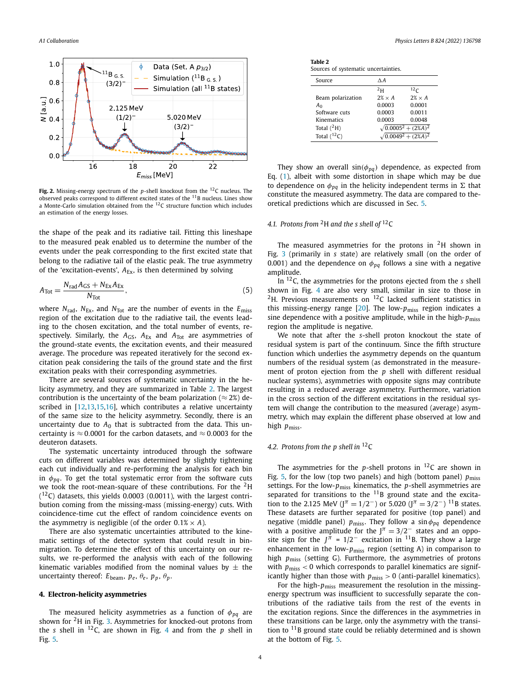<span id="page-3-0"></span>

**Fig. 2.** Missing-energy spectrum of the *p*-shell knockout from the 12C nucleus. The observed peaks correspond to different excited states of the 11B nucleus. Lines show a Monte-Carlo simulation obtained from the 12C structure function which includes an estimation of the energy losses.

the shape of the peak and its radiative tail. Fitting this lineshape to the measured peak enabled us to determine the number of the events under the peak corresponding to the first excited state that belong to the radiative tail of the elastic peak. The true asymmetry of the 'excitation-events',  $A_{Ex}$ , is then determined by solving

$$
A_{\text{Tot}} = \frac{N_{\text{rad}} A_{\text{GS}} + N_{\text{Ex}} A_{\text{Ex}}}{N_{\text{Tot}}},\tag{5}
$$

where  $N_{\text{rad}}$ ,  $N_{\text{Ex}}$ , and  $N_{\text{Tot}}$  are the number of events in the  $E_{\text{miss}}$ region of the excitation due to the radiative tail, the events leading to the chosen excitation, and the total number of events, respectively. Similarly, the  $A_{\text{GS}}$ ,  $A_{\text{Ex}}$  and  $A_{\text{Tot}}$  are asymmetries of the ground-state events, the excitation events, and their measured average. The procedure was repeated iteratively for the second excitation peak considering the tails of the ground state and the first excitation peaks with their corresponding asymmetries.

There are several sources of systematic uncertainty in the helicity asymmetry, and they are summarized in Table 2. The largest contribution is the uncertainty of the beam polarization ( $\approx$  2%) de-scribed in [\[12,13,15,16](#page-7-0)], which contributes a relative uncertainty of the same size to the helicity asymmetry. Secondly, there is an uncertainty due to  $A_0$  that is subtracted from the data. This uncertainty is  $\approx$  0.0001 for the carbon datasets, and  $\approx$  0.0003 for the deuteron datasets.

The systematic uncertainty introduced through the software cuts on different variables was determined by slightly tightening each cut individually and re-performing the analysis for each bin in  $\phi_{pq}$ . To get the total systematic error from the software cuts we took the root-mean-square of these contributions. For the  $2H$  $(12)$  datasets, this yields 0.0003 (0.0011), with the largest contribution coming from the missing-mass (missing-energy) cuts. With coincidence-time cut the effect of random coincidence events on the asymmetry is negligible (of the order  $0.1\% \times A$ ).

There are also systematic uncertainties attributed to the kinematic settings of the detector system that could result in binmigration. To determine the effect of this uncertainty on our results, we re-performed the analysis with each of the following kinematic variables modified from the nominal values by  $\pm$  the uncertainty thereof:  $E_{\text{beam}}$ ,  $p_e$ ,  $\theta_e$ ,  $p_p$ ,  $\theta_p$ .

# **4. Electron-helicity asymmetries**

The measured helicity asymmetries as a function of *φpq* are shown for 2H in Fig. [3](#page-4-0). Asymmetries for knocked-out protons from the *s* shell in  $^{12}C$ , are shown in Fig. [4](#page-4-0) and from the *p* shell in Fig. [5.](#page-4-0)

**Table 2** Sources of systematic uncertainties.

| Source            | $\wedge$ A     |                              |
|-------------------|----------------|------------------------------|
|                   | 2 <sub>H</sub> | 12 <sub>C</sub>              |
| Beam polarization | $2\% \times A$ | $2\% \times A$               |
| A <sub>0</sub>    | 0.0003         | 0.0001                       |
| Software cuts     | 0.0003         | 0.0011                       |
| Kinematics        | 0.0003         | 0.0048                       |
| Total $(^2H)$     |                | $\sqrt{0.0005^2 + (2\%A)^2}$ |
| Total $(^{12}C)$  |                | $\sqrt{0.0049^2 + (2\%A)^2}$ |

They show an overall  $sin(\phi_{pq})$  dependence, as expected from Eq. ([1](#page-1-0)), albeit with some distortion in shape which may be due to dependence on  $\phi_{pq}$  in the helicity independent terms in  $\Sigma$  that constitute the measured asymmetry. The data are compared to theoretical predictions which are discussed in Sec. [5.](#page-5-0)

# *4.1. Protons from* 2H *and the s shell of* 12C

The measured asymmetries for the protons in  $2H$  shown in Fig. [3](#page-4-0) (primarily in *s* state) are relatively small (on the order of 0.001) and the dependence on  $\phi_{pq}$  follows a sine with a negative amplitude.

In 12C, the asymmetries for the protons ejected from the *s* shell shown in Fig. [4](#page-4-0) are also very small, similar in size to those in  ${}^{2}$ H. Previous measurements on  ${}^{12}$ C lacked sufficient statistics in this missing-energy range  $[20]$  $[20]$ . The low- $p_{\text{miss}}$  region indicates a sine dependence with a positive amplitude, while in the high- $p_{\text{miss}}$ region the amplitude is negative.

We note that after the *s*-shell proton knockout the state of residual system is part of the continuum. Since the fifth structure function which underlies the asymmetry depends on the quantum numbers of the residual system (as demonstrated in the measurement of proton ejection from the *p* shell with different residual nuclear systems), asymmetries with opposite signs may contribute resulting in a reduced average asymmetry. Furthermore, variation in the cross section of the different excitations in the residual system will change the contribution to the measured (average) asymmetry, which may explain the different phase observed at low and high *p*miss.

# *4.2. Protons from the p shell in* 12C

The asymmetries for the  $p$ -shell protons in  $^{12}$ C are shown in Fig. [5,](#page-4-0) for the low (top two panels) and high (bottom panel)  $p_{\text{miss}}$ settings. For the low- $p_{\text{miss}}$  kinematics, the *p*-shell asymmetries are separated for transitions to the  $11B$  ground state and the excitation to the 2.125 MeV ( $J^{\pi}$  = 1/2<sup>-</sup>) or 5.020 ( $J^{\pi}$  = 3/2<sup>-</sup>) <sup>11</sup>B states. These datasets are further separated for positive (top panel) and negative (middle panel)  $p_{\text{miss}}$ . They follow a sin $\phi_{pq}$  dependence with a positive amplitude for the  $J^{\pi} = 3/2^-$  states and an opposite sign for the  $J^{\pi} = 1/2^-$  excitation in <sup>11</sup>B. They show a large enhancement in the low- $p_{\text{miss}}$  region (setting A) in comparison to high  $p_{\text{miss}}$  (setting G). Furthermore, the asymmetries of protons with *p*miss *<* 0 which corresponds to parallel kinematics are significantly higher than those with  $p_{\text{miss}} > 0$  (anti-parallel kinematics).

For the high- $p_{\text{miss}}$  measurement the resolution in the missingenergy spectrum was insufficient to successfully separate the contributions of the radiative tails from the rest of the events in the excitation regions. Since the differences in the asymmetries in these transitions can be large, only the asymmetry with the transition to  $11B$  ground state could be reliably determined and is shown at the bottom of Fig. [5.](#page-4-0)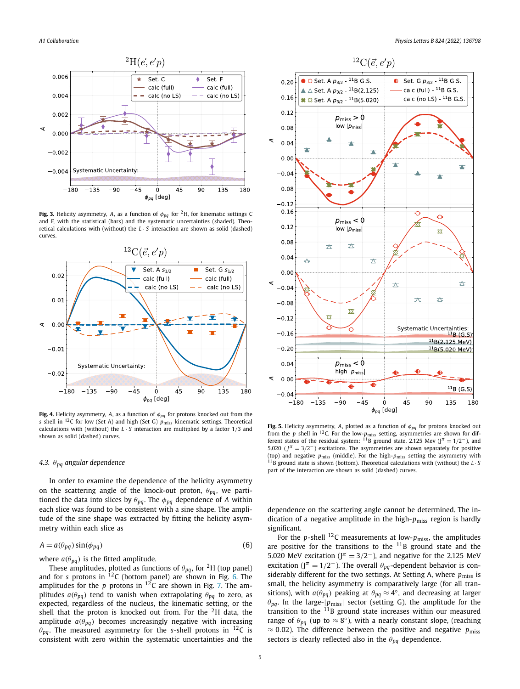<span id="page-4-0"></span>

**Fig. 3.** Helicity asymmetry, *A*, as a function of  $\phi_{pq}$  for <sup>2</sup>H, for kinematic settings C and F, with the statistical (bars) and the systematic uncertainties (shaded). Theoretical calculations with (without) the  $L \cdot S$  interaction are shown as solid (dashed) curves.



**Fig. 4.** Helicity asymmetry, *A*, as a function of *φpq* for protons knocked out from the *s* shell in <sup>12</sup>C for low (Set A) and high (Set G)  $p_{\text{miss}}$  kinematic settings. Theoretical calculations with (without) the *L* · *S* interaction are multiplied by a factor 1*/*3 and shown as solid (dashed) curves.

## *4.3. θpq angular dependence*

In order to examine the dependence of the helicity asymmetry on the scattering angle of the knock-out proton, *θpq*, we partitioned the data into slices by  $\theta_{pq}$ . The  $\phi_{pq}$  dependence of *A* within each slice was found to be consistent with a sine shape. The amplitude of the sine shape was extracted by fitting the helicity asymmetry within each slice as

$$
A = a(\theta_{pq}) \sin(\phi_{pq})
$$
 (6)

where  $a(\theta_{pq})$  is the fitted amplitude.

These amplitudes, plotted as functions of  $\theta_{pq}$ , for <sup>2</sup>H (top panel) and for *s* protons in <sup>12</sup>C (bottom panel) are shown in Fig. [6.](#page-5-0) The amplitudes for the  $p$  protons in  $^{12}$ C are shown in Fig. [7.](#page-5-0) The amplitudes  $a(\theta_{pq})$  tend to vanish when extrapolating  $\theta_{pq}$  to zero, as expected, regardless of the nucleus, the kinematic setting, or the shell that the proton is knocked out from. For the  $2H$  data, the amplitude  $a(\theta_{pq})$  becomes increasingly negative with increasing  $\theta_{pq}$ . The measured asymmetry for the *s*-shell protons in <sup>12</sup>C is consistent with zero within the systematic uncertainties and the



**Fig. 5.** Helicity asymmetry, *A*, plotted as a function of *φpq* for protons knocked out from the *p* shell in <sup>12</sup>C. For the low-*p*<sub>miss</sub> setting, asymmetries are shown for dif-<br>ferent states of the residual system: <sup>11</sup>B ground state, 2.125 Mev (J<sup>π</sup> = 1/2<sup>−</sup>), and 5.020 ( $J^{\pi}$  = 3/2<sup>-</sup>) excitations. The asymmetries are shown separately for positive (top) and negative *p*miss (middle). For the high-*p*miss setting the asymmetry with <sup>11</sup>B ground state is shown (bottom). Theoretical calculations with (without) the *L* · *S* part of the interaction are shown as solid (dashed) curves.

dependence on the scattering angle cannot be determined. The indication of a negative amplitude in the high-*p*miss region is hardly significant.

For the *p*-shell <sup>12</sup>C measurements at low- $p_{\text{miss}}$ , the amplitudes are positive for the transitions to the  $11B$  ground state and the 5.020 MeV excitation ( $J^{\pi} = 3/2^-$ ), and negative for the 2.125 MeV excitation (J<sup> $\pi$ </sup> = 1/2<sup>-</sup>). The overall  $\theta_{pq}$ -dependent behavior is considerably different for the two settings. At Setting A, where  $p_{\text{miss}}$  is small, the helicity asymmetry is comparatively large (for all transitions), with  $a(\theta_{pq})$  peaking at  $\theta_{pq} \approx 4^{\circ}$ , and decreasing at larger  $\theta_{pq}$ . In the large- $|p_{miss}|$  sector (setting G), the amplitude for the transition to the <sup>11</sup>B ground state increases within our measured range of  $\theta_{pq}$  (up to  $\approx 8^{\circ}$ ), with a nearly constant slope, (reaching ≈ 0*.*02). The difference between the positive and negative *p*miss sectors is clearly reflected also in the *θpq* dependence.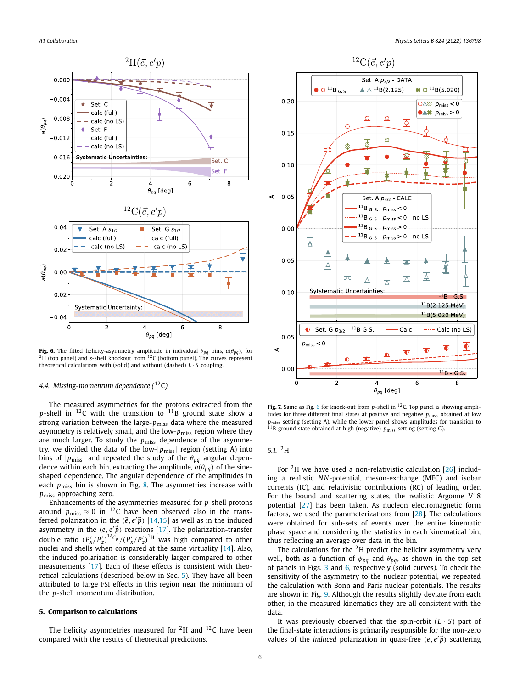<span id="page-5-0"></span>

**Fig. 6.** The fitted helicity-asymmetry amplitude in individual  $\theta_{pq}$  bins,  $a(\theta_{pq})$ , for  $^{2}$ H (top panel) and *s*-shell knockout from  $^{12}$ C (bottom panel). The curves represent theoretical calculations with (solid) and without (dashed) *L* · *S* coupling.

# *4.4. Missing-momentum dependence (* 12C*)*

The measured asymmetries for the protons extracted from the  $p$ -shell in  $^{12}$ C with the transition to  $11_B$  ground state show a strong variation between the large-*p*miss data where the measured asymmetry is relatively small, and the low-*p*miss region where they are much larger. To study the  $p_{\text{miss}}$  dependence of the asymmetry, we divided the data of the low-|*p*miss| region (setting A) into bins of  $|p_{\text{miss}}|$  and repeated the study of the  $\theta_{pq}$  angular dependence within each bin, extracting the amplitude,  $a(\theta_{pq})$  of the sineshaped dependence. The angular dependence of the amplitudes in each *p*<sub>miss</sub> bin is shown in Fig. [8.](#page-6-0) The asymmetries increase with *p*miss approaching zero.

Enhancements of the asymmetries measured for *p*-shell protons around  $p_{\text{miss}} \approx 0$  in <sup>12</sup>C have been observed also in the transferred polarization in the  $(\vec{e}, e'\vec{p})$  [[14](#page-7-0),[15](#page-7-0)] as well as in the induced asymmetry in the  $(e, e'\vec{p})$  reactions [\[17\]](#page-7-0). The polarization-transfer double ratio  $(P'_x/P'_z)^{12}C_p/(P'_x/P'_z)^{1H}$  was high compared to other nuclei and shells when compared at the same virtuality [\[14](#page-7-0)]. Also, the induced polarization is considerably larger compared to other measurements [\[17\]](#page-7-0). Each of these effects is consistent with theoretical calculations (described below in Sec. 5). They have all been attributed to large FSI effects in this region near the minimum of the *p*-shell momentum distribution.

#### **5. Comparison to calculations**

The helicity asymmetries measured for  $2H$  and  $12C$  have been compared with the results of theoretical predictions.



Fig. 7. Same as Fig. 6 for knock-out from p-shell in <sup>12</sup>C. Top panel is showing amplitudes for three different final states at positive and negative  $p_{\text{miss}}$  obtained at low *p<sub>miss</sub>* setting (setting A), while the lower panel shows amplitudes for transition to <sup>11</sup>B ground state obtained at high (negative) *p*<sub>miss</sub> setting (setting G).

# *5.1.* 2H

For <sup>2</sup>H we have used a non-relativistic calculation  $[26]$  $[26]$  $[26]$  including a realistic NN-potential, meson-exchange (MEC) and isobar currents (IC), and relativistic contributions (RC) of leading order. For the bound and scattering states, the realistic Argonne V18 potential [[27](#page-7-0)] has been taken. As nucleon electromagnetic form factors, we used the parameterizations from [[28](#page-7-0)]. The calculations were obtained for sub-sets of events over the entire kinematic phase space and considering the statistics in each kinematical bin, thus reflecting an average over data in the bin.

The calculations for the  $2H$  predict the helicity asymmetry very well, both as a function of  $\phi_{pq}$  and  $\theta_{pq}$ , as shown in the top set of panels in Figs. [3](#page-4-0) and 6, respectively (solid curves). To check the sensitivity of the asymmetry to the nuclear potential, we repeated the calculation with Bonn and Paris nuclear potentials. The results are shown in Fig. [9.](#page-6-0) Although the results slightly deviate from each other, in the measured kinematics they are all consistent with the data.

It was previously observed that the spin-orbit (*L* · *S*) part of the final-state interactions is primarily responsible for the non-zero values of the *induced* polarization in quasi-free *(e, e p*-*)* scattering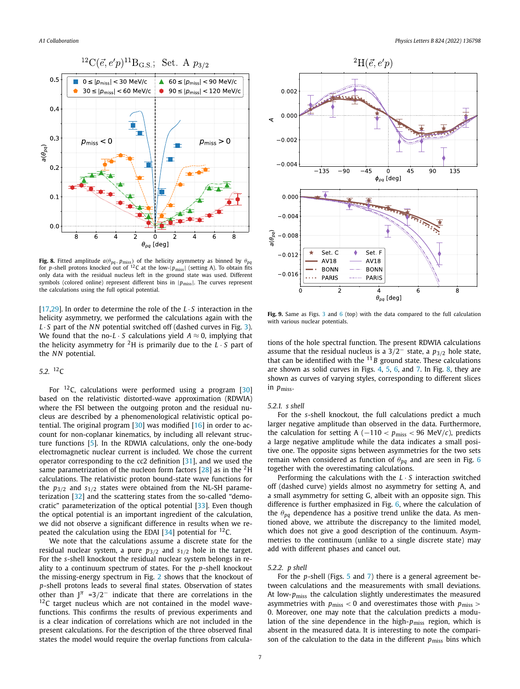<span id="page-6-0"></span>

**Fig. 8.** Fitted amplitude  $a(\theta_{pq}, p_{\text{miss}})$  of the helicity asymmetry as binned by  $\theta_{pq}$  for *p*-shell protons knocked out of <sup>12</sup>C at the low- $|p_{\text{miss}}|$  (setting A). To obtain fits only data with the residual nucleus left in the ground state was used. Different symbols (colored online) represent different bins in  $|p_{\text{miss}}|$ . The curves represent the calculations using the full optical potential.

[\[17,29\]](#page-7-0). In order to determine the role of the *L* · *S* interaction in the helicity asymmetry, we performed the calculations again with the *L* · *S* part of the *NN* potential switched off (dashed curves in Fig. [3\)](#page-4-0). We found that the no- $L \cdot S$  calculations yield  $A \approx 0$ , implying that the helicity asymmetry for <sup>2</sup>H is primarily due to the  $L \cdot S$  part of the *NN* potential.

# *5.2.* 12C

For  $^{12}$ C, calculations were performed using a program [[30\]](#page-7-0) based on the relativistic distorted-wave approximation (RDWIA) where the FSI between the outgoing proton and the residual nucleus are described by a phenomenological relativistic optical potential. The original program [[30](#page-7-0)] was modified [\[16](#page-7-0)] in order to account for non-coplanar kinematics, by including all relevant structure functions [[5](#page-7-0)]. In the RDWIA calculations, only the one-body electromagnetic nuclear current is included. We chose the current operator corresponding to the cc2 definition [\[31\]](#page-8-0), and we used the same parametrization of the nucleon form factors  $[28]$  $[28]$  $[28]$  as in the <sup>2</sup>H calculations. The relativistic proton bound-state wave functions for the  $p_{3/2}$  and  $s_{1/2}$  states were obtained from the NL-SH parameterization [\[32](#page-8-0)] and the scattering states from the so-called "democratic" parameterization of the optical potential [\[33](#page-8-0)]. Even though the optical potential is an important ingredient of the calculation, we did not observe a significant difference in results when we re-peated the calculation using the EDAI [[34](#page-8-0)] potential for  $^{12}$ C.

We note that the calculations assume a discrete state for the residual nuclear system, a pure *p*3*/*<sup>2</sup> and *s*1*/*<sup>2</sup> hole in the target. For the *s*-shell knockout the residual nuclear system belongs in reality to a continuum spectrum of states. For the *p*-shell knockout the missing-energy spectrum in Fig. [2](#page-3-0) shows that the knockout of *p*-shell protons leads to several final states. Observation of states other than  $J^{\pi}$  =3/2<sup>-</sup> indicate that there are correlations in the  $12<sup>12</sup>C$  target nucleus which are not contained in the model wavefunctions. This confirms the results of previous experiments and is a clear indication of correlations which are not included in the present calculations. For the description of the three observed final states the model would require the overlap functions from calcula-



**Fig. 9.** Same as Figs. [3](#page-4-0) and [6](#page-5-0) (top) with the data compared to the full calculation with various nuclear potentials.

tions of the hole spectral function. The present RDWIA calculations assume that the residual nucleus is a 3*/*2<sup>−</sup> state, a *p*3*/*<sup>2</sup> hole state, that can be identified with the  $11 B$  ground state. These calculations are shown as solid curves in Figs. [4](#page-4-0), [5,](#page-4-0) [6](#page-5-0), and [7](#page-5-0). In Fig. 8, they are shown as curves of varying styles, corresponding to different slices in *p*miss.

#### *5.2.1. s shell*

For the *s*-shell knockout, the full calculations predict a much larger negative amplitude than observed in the data. Furthermore, the calculation for setting A ( $-110 < p_{\text{miss}} < 96 \text{ MeV}/c$ ), predicts a large negative amplitude while the data indicates a small positive one. The opposite signs between asymmetries for the two sets remain when considered as function of *θpq* and are seen in Fig. [6](#page-5-0) together with the overestimating calculations.

Performing the calculations with the *L* · *S* interaction switched off (dashed curve) yields almost no asymmetry for setting A, and a small asymmetry for setting G, albeit with an opposite sign. This difference is further emphasized in Fig. [6,](#page-5-0) where the calculation of the *θpq* dependence has a positive trend unlike the data. As mentioned above, we attribute the discrepancy to the limited model, which does not give a good description of the continuum. Asymmetries to the continuum (unlike to a single discrete state) may add with different phases and cancel out.

## *5.2.2. p shell*

For the *p*-shell (Figs. [5](#page-4-0) and [7\)](#page-5-0) there is a general agreement between calculations and the measurements with small deviations. At low-*p*miss the calculation slightly underestimates the measured asymmetries with *p*miss *<* 0 and overestimates those with *p*miss *>* 0. Moreover, one may note that the calculation predicts a modulation of the sine dependence in the high-*p*miss region, which is absent in the measured data. It is interesting to note the comparison of the calculation to the data in the different  $p_{\text{miss}}$  bins which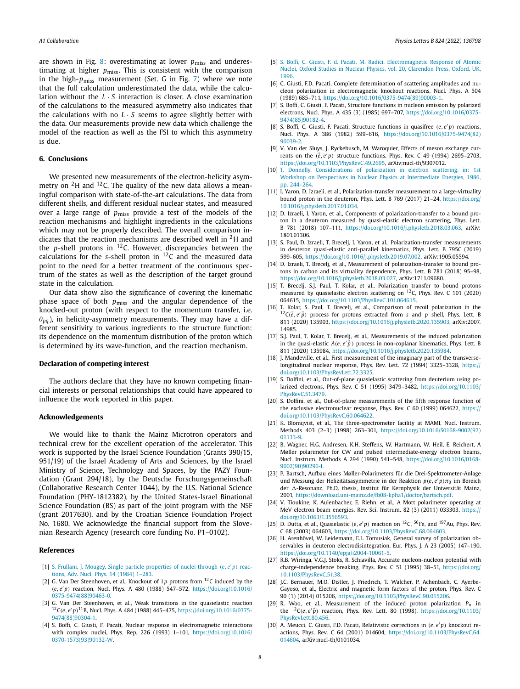<span id="page-7-0"></span>are shown in Fig. [8:](#page-6-0) overestimating at lower  $p_{\text{miss}}$  and underestimating at higher *p*<sub>miss</sub>. This is consistent with the comparison in the high-*p*miss measurement (Set. G in Fig. [7\)](#page-5-0) where we note that the full calculation underestimated the data, while the calculation without the *L* · *S* interaction is closer. A close examination of the calculations to the measured asymmetry also indicates that the calculations with no  $L \cdot S$  seems to agree slightly better with the data. Our measurements provide new data which challenge the model of the reaction as well as the FSI to which this asymmetry is due.

#### **6. Conclusions**

We presented new measurements of the electron-helicity asymmetry on  $2H$  and  $12C$ . The quality of the new data allows a meaningful comparison with state-of-the-art calculations. The data from different shells, and different residual nuclear states, and measured over a large range of  $p_{\text{miss}}$  provide a test of the models of the reaction mechanisms and highlight ingredients in the calculations which may not be properly described. The overall comparison indicates that the reaction mechanisms are described well in  ${}^{2}$ H and the *p*-shell protons in  $^{12}$ C. However, discrepancies between the calculations for the *s*-shell proton in 12C and the measured data point to the need for a better treatment of the continuous spectrum of the states as well as the description of the target ground state in the calculation.

Our data show also the significance of covering the kinematic phase space of both *p*miss and the angular dependence of the knocked-out proton (with respect to the momentum transfer, i.e.  $\theta_{na}$ ), in helicity-asymmetry measurements. They may have a different sensitivity to various ingredients to the structure function: its dependence on the momentum distribution of the proton which is determined by its wave-function, and the reaction mechanism.

# **Declaration of competing interest**

The authors declare that they have no known competing financial interests or personal relationships that could have appeared to influence the work reported in this paper.

#### **Acknowledgements**

We would like to thank the Mainz Microtron operators and technical crew for the excellent operation of the accelerator. This work is supported by the Israel Science Foundation (Grants 390/15, 951/19) of the Israel Academy of Arts and Sciences, by the Israel Ministry of Science, Technology and Spaces, by the PAZY Foundation (Grant 294/18), by the Deutsche Forschungsgemeinschaft (Collaborative Research Center 1044), by the U.S. National Science Foundation (PHY-1812382), by the United States-Israel Binational Science Foundation (BS) as part of the joint program with the NSF (grant 2017630), and by the Croatian Science Foundation Project No. 1680. We acknowledge the financial support from the Slovenian Research Agency (research core funding No. P1–0102).

#### **References**

- [1] S. Frullani, J. Mougey, Single particle [properties](http://refhub.elsevier.com/S0370-2693(21)00738-3/bibEF7F2104E534D58E583A1B5F69998E46s1) of nuclei through *(e, e p)* reactions, Adv. Nucl. Phys. 14 [\(1984\)](http://refhub.elsevier.com/S0370-2693(21)00738-3/bibEF7F2104E534D58E583A1B5F69998E46s1) 1–283.
- [2] G. Van Der Steenhoven, et al., Knockout of 1*p* protons from 12C induced by the *(e, e p)* reaction, Nucl. Phys. A 480 (1988) 547–572, [https://doi.org/10.1016/](https://doi.org/10.1016/0375-9474(88)90463-0) [0375-9474\(88\)90463-0](https://doi.org/10.1016/0375-9474(88)90463-0).
- [3] G. Van Der Steenhoven, et al., Weak transitions in the quasielastic reaction 12C*(e, e p)*11B, Nucl. Phys. A 484 (1988) 445–475, [https://doi.org/10.1016/0375-](https://doi.org/10.1016/0375-9474(88)90304-1) [9474\(88\)90304-1.](https://doi.org/10.1016/0375-9474(88)90304-1)
- [4] S. Boffi, C. Giusti, F. Pacati, Nuclear response in electromagnetic interactions with complex nuclei, Phys. Rep. 226 (1993) 1–101, [https://doi.org/10.1016/](https://doi.org/10.1016/0370-1573(93)90132-W) [0370-1573\(93\)90132-W](https://doi.org/10.1016/0370-1573(93)90132-W).
- [5] S. Boffi, C. Giusti, F. d. Pacati, M. Radici, [Electromagnetic](http://refhub.elsevier.com/S0370-2693(21)00738-3/bib9545CBC216C99D1B92578199ED638E9Bs1) Response of Atomic Nuclei, Oxford Studies in Nuclear Physics, vol. 20, [Clarendon](http://refhub.elsevier.com/S0370-2693(21)00738-3/bib9545CBC216C99D1B92578199ED638E9Bs1) Press, Oxford, UK, [1996.](http://refhub.elsevier.com/S0370-2693(21)00738-3/bib9545CBC216C99D1B92578199ED638E9Bs1)
- [6] C. Giusti, F.D. Pacati, Complete determination of scattering amplitudes and nucleon polarization in electromagnetic knockout reactions, Nucl. Phys. A 504 (1989) 685–711, [https://doi.org/10.1016/0375-9474\(89\)90003-1](https://doi.org/10.1016/0375-9474(89)90003-1).
- [7] S. Boffi, C. Giusti, F. Pacati, Structure functions in nucleon emission by polarized electrons, Nucl. Phys. A 435 (3) (1985) 697–707, [https://doi.org/10.1016/0375-](https://doi.org/10.1016/0375-9474(85)90182-4) [9474\(85\)90182-4.](https://doi.org/10.1016/0375-9474(85)90182-4)
- [8] S. Boffi, C. Giusti, F. Pacati, Structure functions in quasifree *(e, e p)* reactions, Nucl. Phys. A 386 (1982) 599–616, [https://doi.org/10.1016/0375-9474\(82\)](https://doi.org/10.1016/0375-9474(82)90039-2) [90039-2](https://doi.org/10.1016/0375-9474(82)90039-2).
- [9] V. Van der Sluys, J. Ryckebusch, M. Waroquier, Effects of meson exchange currents on the  $(\vec{e}, e'p)$  structure functions, Phys. Rev. C 49 (1994) 2695–2703, [https://doi.org/10.1103/PhysRevC.49.2695,](https://doi.org/10.1103/PhysRevC.49.2695) arXiv:nucl-th/9307012.
- [10] T. Donnelly, [Considerations](http://refhub.elsevier.com/S0370-2693(21)00738-3/bibD508B4AFA38E336975BEDC539DCC7821s1) of polarization in electron scattering, in: 1st Workshop on Perspectives in Nuclear Physics at [Intermediate](http://refhub.elsevier.com/S0370-2693(21)00738-3/bibD508B4AFA38E336975BEDC539DCC7821s1) Energies, 1986, [pp. 244–264.](http://refhub.elsevier.com/S0370-2693(21)00738-3/bibD508B4AFA38E336975BEDC539DCC7821s1)
- [11] I. Yaron, D. Izraeli, et al., Polarization-transfer measurement to a large-virtuality bound proton in the deuteron, Phys. Lett. B 769 (2017) 21–24, [https://doi.org/](https://doi.org/10.1016/j.physletb.2017.01.034) [10.1016/j.physletb.2017.01.034](https://doi.org/10.1016/j.physletb.2017.01.034).
- [12] D. Izraeli, I. Yaron, et al., Components of polarization-transfer to a bound proton in a deuteron measured by quasi-elastic electron scattering, Phys. Lett. B 781 (2018) 107–111, [https://doi.org/10.1016/j.physletb.2018.03.063,](https://doi.org/10.1016/j.physletb.2018.03.063) arXiv: 1801.01306.
- [13] S. Paul, D. Izraeli, T. Brecelj, I. Yaron, et al., Polarization-transfer measurements in deuteron quasi-elastic anti-parallel kinematics, Phys. Lett. B 795C (2019) 599–605, [https://doi.org/10.1016/j.physletb.2019.07.002,](https://doi.org/10.1016/j.physletb.2019.07.002) arXiv:1905.05594.
- [14] D. Izraeli, T. Breceli, et al., Measurement of polarization-transfer to bound protons in carbon and its virtuality dependence, Phys. Lett. B 781 (2018) 95–98, [https://doi.org/10.1016/j.physletb.2018.03.027,](https://doi.org/10.1016/j.physletb.2018.03.027) arXiv:1711.09680.
- [15] T. Brecelj, S.J. Paul, T. Kolar, et al., Polarization transfer to bound protons measured by quasielastic electron scattering on 12C, Phys. Rev. C 101 (2020) 064615, <https://doi.org/10.1103/PhysRevC.101.064615>.
- [16] T. Kolar, S. Paul, T. Brecelj, et al., Comparison of recoil polarization in the  ${}^{12}C(\vec{e}, e'\vec{p})$  process for protons extracted from *s* and *p* shell, Phys. Lett. B 811 (2020) 135903, [https://doi.org/10.1016/j.physletb.2020.135903,](https://doi.org/10.1016/j.physletb.2020.135903) arXiv:2007. 14985.
- [17] S.J. Paul, T. Kolar, T. Brecelj, et al., Measurements of the induced polarization in the quasi-elastic  $A(e, e'\vec{p})$  process in non-coplanar kinematics, Phys. Lett. B 811 (2020) 135984, <https://doi.org/10.1016/j.physletb.2020.135984>.
- [18] J. Mandeville, et al., First measurement of the imaginary part of the transverselongitudinal nuclear response, Phys. Rev. Lett. 72 (1994) 3325–3328, [https://](https://doi.org/10.1103/PhysRevLett.72.3325) [doi.org/10.1103/PhysRevLett.72.3325](https://doi.org/10.1103/PhysRevLett.72.3325).
- [19] S. Dolfini, et al., Out-of-plane quasielastic scattering from deuterium using polarized electrons, Phys. Rev. C 51 (1995) 3479–3482, [https://doi.org/10.1103/](https://doi.org/10.1103/PhysRevC.51.3479) [PhysRevC.51.3479.](https://doi.org/10.1103/PhysRevC.51.3479)
- [20] S. Dolfini, et al., Out-of-plane measurements of the fifth response function of the exclusive electronuclear response, Phys. Rev. C 60 (1999) 064622, [https://](https://doi.org/10.1103/PhysRevC.60.064622) [doi.org/10.1103/PhysRevC.60.064622](https://doi.org/10.1103/PhysRevC.60.064622).
- [21] K. Blomqvist, et al., The three-spectrometer facility at MAMI, Nucl. Instrum. Methods 403 (2–3) (1998) 263–301, [https://doi.org/10.1016/S0168-9002\(97\)](https://doi.org/10.1016/S0168-9002(97)01133-9) [01133-9](https://doi.org/10.1016/S0168-9002(97)01133-9).
- [22] B. Wagner, H.G. Andresen, K.H. Steffens, W. Hartmann, W. Heil, E. Reichert, A Møller polarimeter for CW and pulsed intermediate-energy electron beams, Nucl. Instrum. Methods A 294 (1990) 541–548, [https://doi.org/10.1016/0168-](https://doi.org/10.1016/0168-9002(90)90296-I) [9002\(90\)90296-I](https://doi.org/10.1016/0168-9002(90)90296-I).
- [23] P. Bartsch, Aufbau eines Møller-Polarimeters für die Drei-Spektrometer-Anlage und Messung der Helizitätsasymmetrie in der Reaktion *p(e, e p)π*<sup>0</sup> im Bereich der  $\Delta$ -Resonanz, Ph.D. thesis, Institut für Kernphysik der Universität Mainz, 2001, <https://download.uni-mainz.de/fb08-kpha1/doctor/bartsch.pdf>.
- [24] V. Tioukine, K. Aulenbacher, E. Riehn, et al., A Mott polarimeter operating at MeV electron beam energies, Rev. Sci. Instrum. 82 (3) (2011) 033303, [https://](https://doi.org/10.1063/1.3556593) [doi.org/10.1063/1.3556593](https://doi.org/10.1063/1.3556593).
- [25] D. Dutta, et al., Quasielastic  $(e, e/p)$  reaction on <sup>12</sup>C, <sup>56</sup>Fe, and <sup>197</sup>Au, Phys. Rev. C 68 (2003) 064603, [https://doi.org/10.1103/PhysRevC.68.064603.](https://doi.org/10.1103/PhysRevC.68.064603)
- [26] H. Arenhövel, W. Leidemann, E.L. Tomusiak, General survey of polarization observables in deuteron electrodisintegration, Eur. Phys. J. A 23 (2005) 147–190, <https://doi.org/10.1140/epja/i2004-10061-5>.
- [27] R.B. Wiringa, V.G.J. Stoks, R. Schiavilla, Accurate nucleon-nucleon potential with charge-independence breaking, Phys. Rev. C 51 (1995) 38–51, [https://doi.org/](https://doi.org/10.1103/PhysRevC.51.38) [10.1103/PhysRevC.51.38](https://doi.org/10.1103/PhysRevC.51.38).
- [28] J.C. Bernauer, M.O. Distler, J. Friedrich, T. Walcher, P. Achenbach, C. Ayerbe-Gayoso, et al., Electric and magnetic form factors of the proton, Phys. Rev. C 90 (1) (2014) 015206, <https://doi.org/10.1103/PhysRevC.90.015206>.
- [29] R. Woo, et al., Measurement of the induced proton polarization  $P_n$  in the  ${}^{12}C(e, e'\vec{p})$  reaction, Phys. Rev. Lett. 80 (1998), [https://doi.org/10.1103/](https://doi.org/10.1103/PhysRevLett.80.456) [PhysRevLett.80.456](https://doi.org/10.1103/PhysRevLett.80.456).
- [30] A. Meucci, C. Giusti, F.D. Pacati, Relativistic corrections in *(e, e p)* knockout reactions, Phys. Rev. C 64 (2001) 014604, [https://doi.org/10.1103/PhysRevC.64.](https://doi.org/10.1103/PhysRevC.64.014604) [014604,](https://doi.org/10.1103/PhysRevC.64.014604) arXiv:nucl-th/0101034.